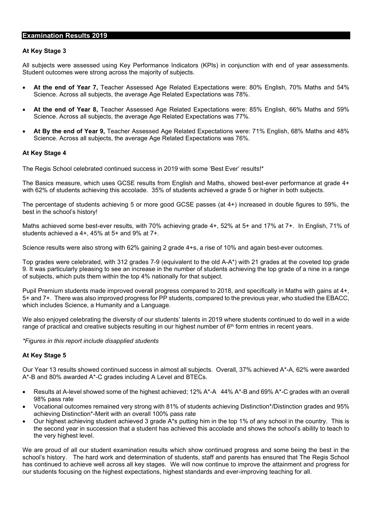## **Examination Results 2019**

## **At Key Stage 3**

All subjects were assessed using Key Performance Indicators (KPIs) in conjunction with end of year assessments. Student outcomes were strong across the majority of subjects.

- **At the end of Year 7,** Teacher Assessed Age Related Expectations were: 80% English, 70% Maths and 54% Science. Across all subjects, the average Age Related Expectations was 78%.
- **At the end of Year 8,** Teacher Assessed Age Related Expectations were: 85% English, 66% Maths and 59% Science. Across all subjects, the average Age Related Expectations was 77%.
- **At By the end of Year 9,** Teacher Assessed Age Related Expectations were: 71% English, 68% Maths and 48% Science. Across all subjects, the average Age Related Expectations was 76%.

## **At Key Stage 4**

The Regis School celebrated continued success in 2019 with some 'Best Ever' results!\*

The Basics measure, which uses GCSE results from English and Maths, showed best-ever performance at grade 4+ with 62% of students achieving this accolade. 35% of students achieved a grade 5 or higher in both subjects.

The percentage of students achieving 5 or more good GCSE passes (at 4+) increased in double figures to 59%, the best in the school's history!

Maths achieved some best-ever results, with 70% achieving grade 4+, 52% at 5+ and 17% at 7+. In English, 71% of students achieved a 4+, 45% at 5+ and 9% at 7+.

Science results were also strong with 62% gaining 2 grade 4+s, a rise of 10% and again best-ever outcomes.

Top grades were celebrated, with 312 grades 7-9 (equivalent to the old A-A\*) with 21 grades at the coveted top grade 9. It was particularly pleasing to see an increase in the number of students achieving the top grade of a nine in a range of subjects, which puts them within the top 4% nationally for that subject.

Pupil Premium students made improved overall progress compared to 2018, and specifically in Maths with gains at 4+, 5+ and 7+. There was also improved progress for PP students, compared to the previous year, who studied the EBACC, which includes Science, a Humanity and a Language.

We also enjoyed celebrating the diversity of our students' talents in 2019 where students continued to do well in a wide range of practical and creative subjects resulting in our highest number of 6<sup>th</sup> form entries in recent years.

*\*Figures in this report include disapplied students*

## **At Key Stage 5**

Our Year 13 results showed continued success in almost all subjects. Overall, 37% achieved A\*-A, 62% were awarded A\*-B and 80% awarded A\*-C grades including A Level and BTECs.

- Results at A-level showed some of the highest achieved; 12% A\*-A 44% A\*-B and 69% A\*-C grades with an overall 98% pass rate
- Vocational outcomes remained very strong with 81% of students achieving Distinction\*/Distinction grades and 95% achieving Distinction\*-Merit with an overall 100% pass rate
- Our highest achieving student achieved 3 grade A\*s putting him in the top 1% of any school in the country. This is the second year in succession that a student has achieved this accolade and shows the school's ability to teach to the very highest level.

We are proud of all our student examination results which show continued progress and some being the best in the school's history. The hard work and determination of students, staff and parents has ensured that The Regis School has continued to achieve well across all key stages. We will now continue to improve the attainment and progress for our students focusing on the highest expectations, highest standards and ever-improving teaching for all.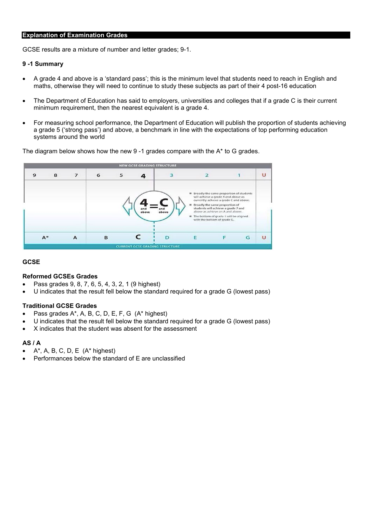# **Explanation of Examination Grades**

GCSE results are a mixture of number and letter grades; 9-1.

#### **9 -1 Summary**

- A grade 4 and above is a 'standard pass'; this is the minimum level that students need to reach in English and maths, otherwise they will need to continue to study these subjects as part of their 4 post-16 education
- The Department of Education has said to employers, universities and colleges that if a grade C is their current minimum requirement, then the nearest equivalent is a grade 4.
- For measuring school performance, the Department of Education will publish the proportion of students achieving a grade 5 ('strong pass') and above, a benchmark in line with the expectations of top performing education systems around the world

**NEW GCSE GRADING STRUCTURE** 9 8 7 6 5 3  $\overline{a}$  $\mathbf{1}$  $\cup$ 4 Broadly the same proportion of students<br>will achieve a grade 4 and above as<br>currently achieve a grade C and above. Broadly the same proportion of<br>students will achieve a grade 7 and<br>above as achieve an A and above. The bottom of grade 1 will be aligned<br>with the bottom of grade G.  $\mathsf{C}$  $\overline{A}$  $\mathsf F$ A<sup>\*</sup>  $\overline{B}$  $\overline{D}$ E  $\cup$ G **CURRENT GCSE GRAI STRUCTL** 

The diagram below shows how the new  $9 - 1$  grades compare with the  $A^*$  to G grades.

#### **GCSE**

#### **Reformed GCSEs Grades**

- Pass grades 9, 8, 7, 6, 5, 4, 3, 2, 1 (9 highest)
- U indicates that the result fell below the standard required for a grade G (lowest pass)

#### **Traditional GCSE Grades**

- Pass grades A\*, A, B, C, D, E, F, G (A\* highest)
- U indicates that the result fell below the standard required for a grade G (lowest pass)
- X indicates that the student was absent for the assessment

#### **AS / A**

- $A^*$ , A, B, C, D, E  $(A^*$  highest)
- Performances below the standard of E are unclassified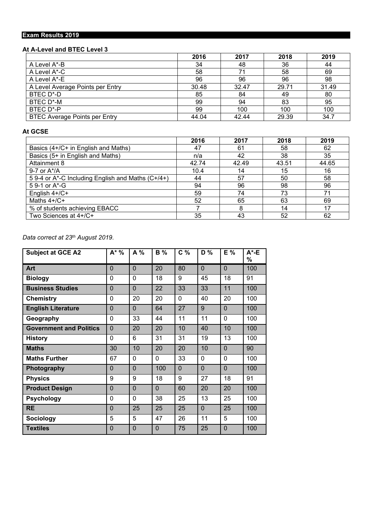# **Exam Results 2019**

# **At A-Level and BTEC Level 3**

|                                  | 2016  | 2017  | 2018  | 2019  |
|----------------------------------|-------|-------|-------|-------|
| A Level A*-B                     | 34    | 48    | 36    | 44    |
| A Level A*-C                     | 58    | 71    | 58    | 69    |
| A Level A*-E                     | 96    | 96    | 96    | 98    |
| A Level Average Points per Entry | 30.48 | 32.47 | 29.71 | 31.49 |
| BTEC D*-D                        | 85    | 84    | 49    | 80    |
| BTEC D*-M                        | 99    | 94    | 83    | 95    |
| BTEC D*-P                        | 99    | 100   | 100   | 100   |
| BTEC Average Points per Entry    | 44.04 | 42.44 | 29.39 | 34.7  |

# **At GCSE**

|                                                         | 2016  | 2017  | 2018  | 2019  |
|---------------------------------------------------------|-------|-------|-------|-------|
| Basics (4+/C+ in English and Maths)                     | 47    | 61    | 58    | 62    |
| Basics (5+ in English and Maths)                        | n/a   | 42    | 38    | 35    |
| Attainment 8                                            | 42.74 | 42.49 | 43.51 | 44.65 |
| 9-7 or $A^*/A$                                          | 10.4  | 14    | 15    | 16    |
| 5 9-4 or $A^*$ -C Including English and Maths $(C+/4+)$ | 44    | 57    | 50    | 58    |
| 5 9-1 or $A^*$ -G                                       | 94    | 96    | 98    | 96    |
| English 4+/C+                                           | 59    | 74    | 73    | 71    |
| Maths $4+/C+$                                           | 52    | 65    | 63    | 69    |
| % of students achieving EBACC                           |       | 8     | 14    | 17    |
| Two Sciences at 4+/C+                                   | 35    | 43    | 52    | 62    |

*Data correct at 23th August 2019.*

| <b>Subject at GCE A2</b>       | $A^*$ %        | $A\%$          | <b>B</b> %     | $C\%$    | $D\%$          | E%             | $A^*$ -E<br>% |
|--------------------------------|----------------|----------------|----------------|----------|----------------|----------------|---------------|
| Art                            | $\overline{0}$ | $\overline{0}$ | 20             | 80       | $\Omega$       | 0              | 100           |
| <b>Biology</b>                 | 0              | 0              | 18             | 9        | 45             | 18             | 91            |
| <b>Business Studies</b>        | $\overline{0}$ | $\overline{0}$ | 22             | 33       | 33             | 11             | 100           |
| <b>Chemistry</b>               | 0              | 20             | 20             | 0        | 40             | 20             | 100           |
| <b>English Literature</b>      | $\overline{0}$ | $\overline{0}$ | 64             | 27       | 9              | $\Omega$       | 100           |
| Geography                      | 0              | 33             | 44             | 11       | 11             | 0              | 100           |
| <b>Government and Politics</b> | $\overline{0}$ | 20             | 20             | 10       | 40             | 10             | 100           |
| <b>History</b>                 | $\Omega$       | 6              | 31             | 31       | 19             | 13             | 100           |
| <b>Maths</b>                   | 30             | 10             | 20             | 20       | 10             | $\mathbf 0$    | 90            |
| <b>Maths Further</b>           | 67             | 0              | $\Omega$       | 33       | $\Omega$       | 0              | 100           |
| Photography                    | $\overline{0}$ | $\overline{0}$ | 100            | $\Omega$ | $\overline{0}$ | $\overline{0}$ | 100           |
| <b>Physics</b>                 | 9              | 9              | 18             | 9        | 27             | 18             | 91            |
| <b>Product Design</b>          | $\overline{0}$ | $\overline{0}$ | $\Omega$       | 60       | 20             | 20             | 100           |
| <b>Psychology</b>              | 0              | 0              | 38             | 25       | 13             | 25             | 100           |
| <b>RE</b>                      | $\overline{0}$ | 25             | 25             | 25       | $\Omega$       | 25             | 100           |
| <b>Sociology</b>               | 5              | 5              | 47             | 26       | 11             | 5              | 100           |
| <b>Textiles</b>                | $\overline{0}$ | $\mathbf 0$    | $\overline{0}$ | 75       | 25             | $\mathbf 0$    | 100           |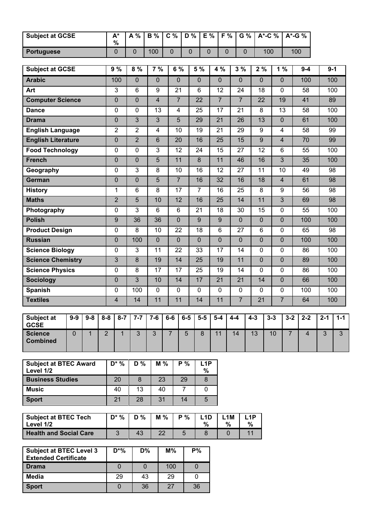| <b>Subject at GCSE</b>                                        |             |              |                | $A^*$<br>$\%$    | A%               | <b>B</b> %       | C %            |                 | D%               | E %                      | F %                      |                | G %                   | A*-C %         |         | A*-G %                  |                |         |                |
|---------------------------------------------------------------|-------------|--------------|----------------|------------------|------------------|------------------|----------------|-----------------|------------------|--------------------------|--------------------------|----------------|-----------------------|----------------|---------|-------------------------|----------------|---------|----------------|
| <b>Portuguese</b>                                             |             |              |                | $\pmb{0}$        | $\overline{0}$   | 100              | $\pmb{0}$      |                 | $\mathbf 0$      | $\mathbf 0$              | $\mathbf 0$              |                | $\mathbf 0$           | 100            |         | 100                     |                |         |                |
| <b>Subject at GCSE</b>                                        |             |              |                | 9%               | 8%               | 7%               |                | 6 %             | 5 %              |                          | 4 %                      | 3%             |                       | 2%             |         | 1%                      | $9 - 4$        |         | $9 - 1$        |
| <b>Arabic</b>                                                 |             |              |                | 100              | 0                | 0                |                | 0               | $\mathbf 0$      |                          | $\mathbf 0$              | $\mathbf 0$    |                       | $\mathbf 0$    |         | $\mathbf 0$             | 100            |         | 100            |
| Art                                                           |             |              |                | 3                | 6                | $\boldsymbol{9}$ |                | 21              | 6                |                          | 12                       | 24             |                       | 18             |         | 0                       | 58             |         | 100            |
| <b>Computer Science</b>                                       |             |              |                | $\mathbf 0$      | $\pmb{0}$        | $\overline{4}$   |                | $\overline{7}$  | 22               |                          | $\overline{7}$           | $\overline{7}$ |                       | 22             |         | 19                      | 41             |         | 89             |
| <b>Dance</b>                                                  |             |              |                | $\mathbf 0$      | $\mathbf 0$      | 13               |                | $\overline{4}$  | 25               |                          | 17                       | 21             |                       | 8              |         | 13                      | 58             |         | 100            |
| <b>Drama</b>                                                  |             |              |                | $\pmb{0}$        | $\mathfrak{S}$   | $\mathfrak{B}$   |                | 5               | 29               |                          | 21                       | 26             |                       | 13             |         | $\pmb{0}$               | 61             |         | 100            |
| <b>English Language</b>                                       |             |              |                | $\overline{2}$   | $\overline{2}$   | $\overline{4}$   |                | 10              | 19               |                          | 21                       | 29             |                       | 9              |         | $\overline{4}$          | 58             |         | 99             |
| <b>English Literature</b>                                     |             |              |                | $\overline{0}$   | $\overline{2}$   | 6                |                | 20              | 16               |                          | $\overline{25}$          | 15             |                       | $\overline{9}$ |         | $\overline{4}$          | 70             |         | 99             |
| <b>Food Technology</b>                                        |             |              |                | $\pmb{0}$        | 0                | 3                |                | 12              | 24               |                          | 15                       | 27             |                       | 12             |         | 6                       | 55             |         | 100            |
| <b>French</b>                                                 |             |              |                | $\mathbf 0$      | $\pmb{0}$        | 5                |                | 11              | $\boldsymbol{8}$ |                          | 11                       | 46             |                       | 16             |         | 3                       | 35             |         | 100            |
| Geography                                                     |             |              |                | $\mathbf 0$      | 3                | 8                |                | 10              | 16               |                          | 12                       | 27             |                       | 11             |         | 10                      | 49             |         | 98             |
| German                                                        |             |              |                | $\pmb{0}$        | 0                | 5                |                | $\overline{7}$  | 16               |                          | 32                       | 16             |                       | 18             |         | $\overline{\mathbf{4}}$ | 61             |         | 98             |
| <b>History</b>                                                |             |              |                | 1                | 6                | 8                |                | 17              | $\overline{7}$   |                          | 16                       | 25             |                       | 8              |         | 9                       | 56             |         | 98             |
| <b>Maths</b>                                                  |             |              |                | $\overline{2}$   | $\overline{5}$   | 10               |                | 12              | 16               |                          | $\overline{25}$          | 14             |                       | 11             |         | $\overline{3}$          | 69             |         | 98             |
| Photography                                                   |             |              |                | $\pmb{0}$        | 3                | 6                |                | 6               | 21               |                          | 18                       | 30             |                       | 15             |         | 0                       | 55             |         | 100            |
| <b>Polish</b>                                                 |             |              |                | 9                | 36               | 36               |                | $\mathbf 0$     | 9                |                          | 9                        | $\mathbf 0$    |                       | $\mathbf 0$    |         | $\mathbf 0$             | 100            |         | 100            |
| <b>Product Design</b>                                         |             |              |                | $\mathbf 0$      | 8                | 10               |                | 22              | 18               |                          | 6                        | 27             |                       | 6              |         | 0                       | 65             |         | 98             |
| <b>Russian</b>                                                |             |              |                | $\pmb{0}$        | 100              | 0                |                | $\mathbf 0$     | $\pmb{0}$        |                          | $\pmb{0}$                | $\pmb{0}$      |                       | $\pmb{0}$      |         | $\pmb{0}$               | 100            |         | 100            |
| <b>Science Biology</b>                                        |             |              |                | $\pmb{0}$        | $\mathfrak{S}$   | 11               |                | 22              | 33               |                          | 17                       | 14             |                       | $\mathbf 0$    |         | 0                       | 86             |         | 100            |
| <b>Science Chemistry</b>                                      |             |              |                | $\overline{3}$   | $\boldsymbol{8}$ | 19               |                | $\overline{14}$ | 25               |                          | 19                       | 11             |                       | $\overline{0}$ |         | $\mathbf 0$             | 89             |         | 100            |
| <b>Science Physics</b>                                        |             |              |                | $\pmb{0}$        | 8                | 17               |                | 17              | 25               |                          | 19                       | 14             |                       | $\mathbf 0$    |         | 0                       | 86             |         | 100            |
| <b>Sociology</b>                                              |             |              |                | $\mathbf 0$      | $\overline{3}$   | 10               |                | 14              | 17               |                          | 21                       | 21             |                       | 14             |         | $\mathbf 0$             | 66             |         | 100            |
| <b>Spanish</b>                                                |             |              |                | $\pmb{0}$        | 100              | $\mathbf 0$      |                | $\mathbf 0$     | $\mathbf 0$      |                          | $\mathbf 0$              | $\pmb{0}$      |                       | $\mathbf 0$    |         | 0                       | 100            |         | 100            |
| <b>Textiles</b>                                               |             |              |                | $\overline{4}$   | 14               | 11               |                | 11              | 14               |                          | 11                       | $\overline{7}$ |                       | 21             |         | $\overline{7}$          | 64             |         | 100            |
|                                                               |             |              |                |                  |                  |                  |                |                 |                  |                          |                          |                |                       |                |         |                         |                |         |                |
| <b>Subject at</b><br><b>GCSE</b>                              | $9-9$       | $9 - 8$      | $8 - 8$        | $8 - 7$          | $7 - 7$          | $7-6$            | $6-6$          | $6-5$           |                  | $5-5$                    | $5-4$                    | $4 - 4$        | $4 - 3$               |                | $3 - 3$ | $3 - 2$                 | $2 - 2$        | $2 - 1$ | $1 - 1$        |
| <b>Science</b><br><b>Combined</b>                             | $\mathbf 0$ | $\mathbf{1}$ | $\overline{2}$ | $\mathbf{1}$     | $\mathbf{3}$     | $\overline{3}$   | $\overline{7}$ | $5\phantom{.}$  |                  | 8                        | 11                       | 14             | 13                    |                | 10      | $\overline{7}$          | $\overline{4}$ | 3       | 3 <sup>1</sup> |
|                                                               |             |              |                |                  |                  |                  |                |                 |                  |                          |                          |                |                       |                |         |                         |                |         |                |
|                                                               |             |              |                |                  |                  |                  |                |                 |                  |                          |                          |                |                       |                |         |                         |                |         |                |
| <b>Subject at BTEC Award</b><br>Level 1/2                     |             |              |                | $D^*$ %          | D %              |                  | M %            | P %             |                  | L1P<br>%                 |                          |                |                       |                |         |                         |                |         |                |
| <b>Business Studies</b>                                       |             |              |                | 20               | 8                |                  | 23             | 29              |                  | 8                        |                          |                |                       |                |         |                         |                |         |                |
| <b>Music</b>                                                  |             |              |                | 40               | 13               |                  | 40             | $\overline{7}$  |                  | 0                        |                          |                |                       |                |         |                         |                |         |                |
| <b>Sport</b>                                                  |             |              |                | 21               | 28               | 31               |                | 14              |                  | 5                        |                          |                |                       |                |         |                         |                |         |                |
| <b>Subject at BTEC Tech</b><br>Level 1/2                      |             |              |                | $D^*$ %          | D %              |                  | M %            | P %             |                  | L <sub>1</sub> D<br>$\%$ | L <sub>1</sub> M<br>$\%$ |                | L <sub>1</sub> P<br>% |                |         |                         |                |         |                |
| <b>Health and Social Care</b>                                 |             |              |                | $\overline{3}$   | 43               |                  | 22             | 5               |                  | 8                        | $\mathbf 0$              |                | 11                    |                |         |                         |                |         |                |
| <b>Subject at BTEC Level 3</b><br><b>Extended Certificate</b> |             |              |                | $D^*%$           | <b>D%</b>        |                  | $M\%$          |                 | <b>P%</b>        |                          |                          |                |                       |                |         |                         |                |         |                |
| <b>Drama</b>                                                  |             |              |                | $\overline{0}$   | $\mathbf 0$      |                  | 100            |                 | $\overline{0}$   |                          |                          |                |                       |                |         |                         |                |         |                |
| <b>Media</b>                                                  |             |              |                | 29               | 43               |                  | 29             |                 | 0                |                          |                          |                |                       |                |         |                         |                |         |                |
| <b>Sport</b>                                                  |             |              |                | $\boldsymbol{0}$ | 36               |                  | 27             |                 | 36               |                          |                          |                |                       |                |         |                         |                |         |                |
|                                                               |             |              |                |                  |                  |                  |                |                 |                  |                          |                          |                |                       |                |         |                         |                |         |                |